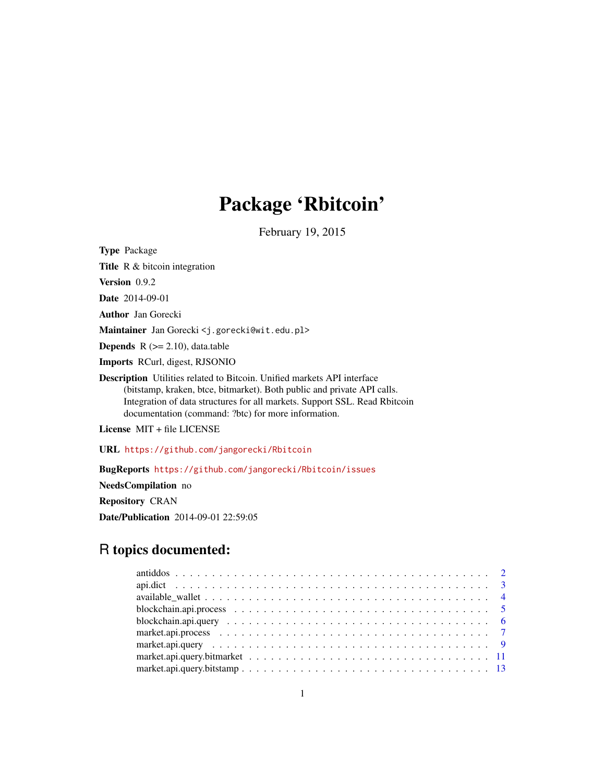## Package 'Rbitcoin'

February 19, 2015

<span id="page-0-0"></span>Type Package

Title R & bitcoin integration

Version 0.9.2

Date 2014-09-01

Author Jan Gorecki

Maintainer Jan Gorecki <j.gorecki@wit.edu.pl>

**Depends**  $R$  ( $>= 2.10$ ), data.table

Imports RCurl, digest, RJSONIO

Description Utilities related to Bitcoin. Unified markets API interface (bitstamp, kraken, btce, bitmarket). Both public and private API calls. Integration of data structures for all markets. Support SSL. Read Rbitcoin documentation (command: ?btc) for more information.

License MIT + file LICENSE

URL <https://github.com/jangorecki/Rbitcoin>

BugReports <https://github.com/jangorecki/Rbitcoin/issues>

NeedsCompilation no

Repository CRAN

Date/Publication 2014-09-01 22:59:05

## R topics documented: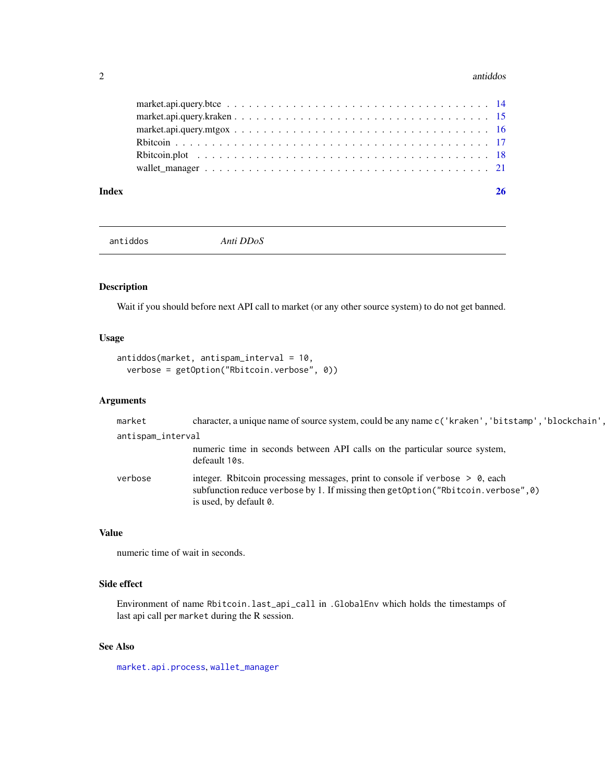#### <span id="page-1-0"></span>2 antidos antidos antidos antidos antidos antidos antidos antidos antidos antidos antidos antidos antidos antidos antidos antidos antidos antidos antidos antidos antidos antidos antidos antidos antidos antidos antidos anti

#### **Index** [26](#page-25-0)

<span id="page-1-1"></span>antiddos *Anti DDoS*

## Description

Wait if you should before next API call to market (or any other source system) to do not get banned.

## Usage

```
antiddos(market, antispam_interval = 10,
  verbose = getOption("Rbitcoin.verbose", 0))
```
## Arguments

| market            | character, a unique name of source system, could be any name c('kraken', 'bitstamp', 'blockchain',                                                                                             |  |
|-------------------|------------------------------------------------------------------------------------------------------------------------------------------------------------------------------------------------|--|
| antispam_interval |                                                                                                                                                                                                |  |
|                   | numeric time in seconds between API calls on the particular source system,<br>defeault 10s.                                                                                                    |  |
| verbose           | integer. Rbitcoin processing messages, print to console if verbose $> 0$ , each<br>subfunction reduce verbose by 1. If missing then getOption("Rbitcoin.verbose", 0)<br>is used, by default 0. |  |

## Value

numeric time of wait in seconds.

## Side effect

Environment of name Rbitcoin.last\_api\_call in .GlobalEnv which holds the timestamps of last api call per market during the R session.

## See Also

[market.api.process](#page-6-1), [wallet\\_manager](#page-20-1)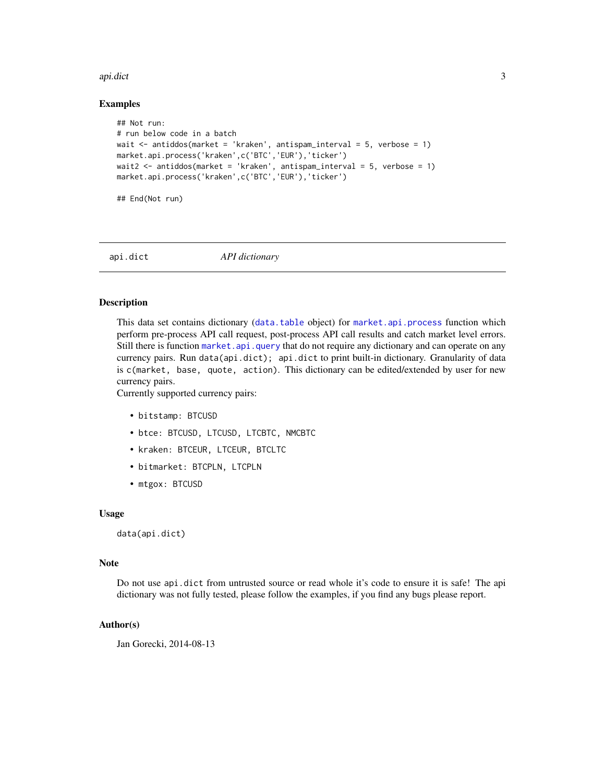#### <span id="page-2-0"></span>api.dict 3

#### Examples

```
## Not run:
# run below code in a batch
wait <- antiddos(market = 'kraken', antispam_interval = 5, verbose = 1)
market.api.process('kraken',c('BTC','EUR'),'ticker')
wait2 <- antiddos(market = 'kraken', antispam_interval = 5, verbose = 1)
market.api.process('kraken',c('BTC','EUR'),'ticker')
```
## End(Not run)

<span id="page-2-1"></span>api.dict *API dictionary*

#### Description

This data set contains dictionary ([data.table](#page-0-0) object) for [market.api.process](#page-6-1) function which perform pre-process API call request, post-process API call results and catch market level errors. Still there is function [market.api.query](#page-8-1) that do not require any dictionary and can operate on any currency pairs. Run data(api.dict); api.dict to print built-in dictionary. Granularity of data is c(market, base, quote, action). This dictionary can be edited/extended by user for new currency pairs.

Currently supported currency pairs:

- bitstamp: BTCUSD
- btce: BTCUSD, LTCUSD, LTCBTC, NMCBTC
- kraken: BTCEUR, LTCEUR, BTCLTC
- bitmarket: BTCPLN, LTCPLN
- mtgox: BTCUSD

#### Usage

```
data(api.dict)
```
#### Note

Do not use api.dict from untrusted source or read whole it's code to ensure it is safe! The api dictionary was not fully tested, please follow the examples, if you find any bugs please report.

## Author(s)

Jan Gorecki, 2014-08-13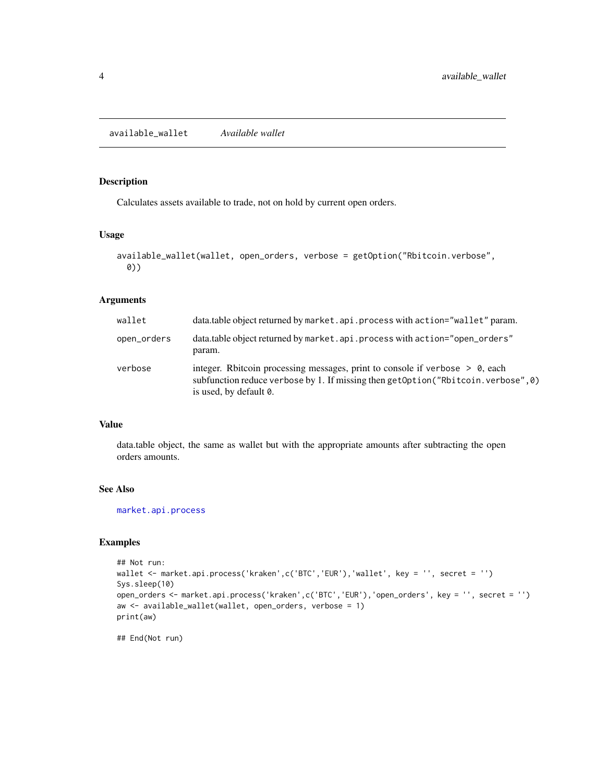## <span id="page-3-1"></span><span id="page-3-0"></span>Description

Calculates assets available to trade, not on hold by current open orders.

## Usage

```
available_wallet(wallet, open_orders, verbose = getOption("Rbitcoin.verbose",
 0))
```
## Arguments

| wallet      | data.table object returned by market.api.process with action="wallet" param.                                                                                                                    |
|-------------|-------------------------------------------------------------------------------------------------------------------------------------------------------------------------------------------------|
| open_orders | data.table object returned by market.api.process with action="open_orders"<br>param.                                                                                                            |
| verbose     | integer. Rbitcoin processing messages, print to console if verbose $> 0$ , each<br>subfunction reduce verbose by 1. If missing then getOption("Rbitcoin. verbose", 0)<br>is used, by default 0. |

## Value

data.table object, the same as wallet but with the appropriate amounts after subtracting the open orders amounts.

## See Also

[market.api.process](#page-6-1)

## Examples

```
## Not run:
wallet <- market.api.process('kraken',c('BTC','EUR'),'wallet', key = '', secret = '')
Sys.sleep(10)
open_orders <- market.api.process('kraken',c('BTC','EUR'),'open_orders', key = '', secret = '')
aw <- available_wallet(wallet, open_orders, verbose = 1)
print(aw)
```
## End(Not run)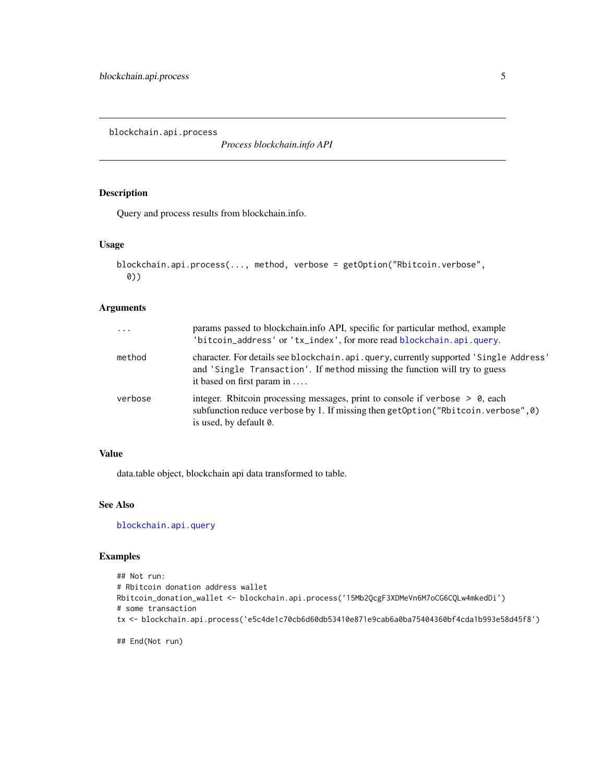<span id="page-4-1"></span><span id="page-4-0"></span>blockchain.api.process

*Process blockchain.info API*

## Description

Query and process results from blockchain.info.

## Usage

```
blockchain.api.process(..., method, verbose = getOption("Rbitcoin.verbose",
  0))
```
#### Arguments

| $\ddots$ | params passed to blockchain.info API, specific for particular method, example<br>'bitcoin_address' or 'tx_index', for more read blockchain.api.query.                                               |
|----------|-----------------------------------------------------------------------------------------------------------------------------------------------------------------------------------------------------|
| method   | character. For details see blockchain. api. query, currently supported 'Single Address'<br>and 'Single Transaction'. If method missing the function will try to guess<br>it based on first param in |
| verbose  | integer. Rbitcoin processing messages, print to console if verbose $> 0$ , each<br>subfunction reduce verbose by 1. If missing then getOption ("Rbitcoin. verbose", 0)<br>is used, by default 0.    |

#### Value

data.table object, blockchain api data transformed to table.

## See Also

[blockchain.api.query](#page-5-1)

```
## Not run:
# Rbitcoin donation address wallet
Rbitcoin_donation_wallet <- blockchain.api.process('15Mb2QcgF3XDMeVn6M7oCG6CQLw4mkedDi')
# some transaction
tx <- blockchain.api.process('e5c4de1c70cb6d60db53410e871e9cab6a0ba75404360bf4cda1b993e58d45f8')
## End(Not run)
```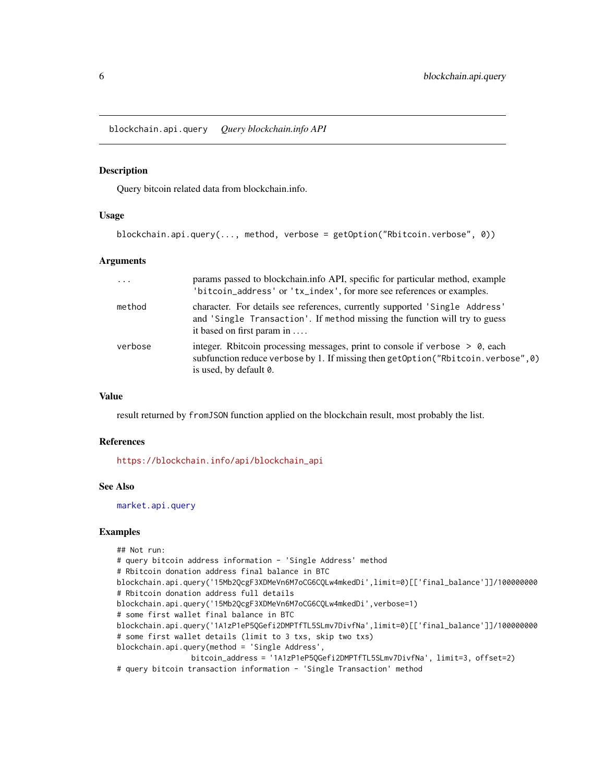<span id="page-5-1"></span><span id="page-5-0"></span>blockchain.api.query *Query blockchain.info API*

#### Description

Query bitcoin related data from blockchain.info.

#### Usage

```
blockchain.api.query(..., method, verbose = getOption("Rbitcoin.verbose", 0))
```
## Arguments

| $\cdots$ | params passed to blockchain.info API, specific for particular method, example<br>'bitcoin_address' or 'tx_index', for more see references or examples.                                           |
|----------|--------------------------------------------------------------------------------------------------------------------------------------------------------------------------------------------------|
| method   | character. For details see references, currently supported 'Single Address'<br>and 'Single Transaction'. If method missing the function will try to guess<br>it based on first param in          |
| verbose  | integer. Rbitcoin processing messages, print to console if verbose $> 0$ , each<br>subfunction reduce verbose by 1. If missing then getOption ("Rbitcoin. verbose", 0)<br>is used, by default 0. |

## Value

result returned by fromJSON function applied on the blockchain result, most probably the list.

## References

[https://blockchain.info/api/blockchain\\_api](https://blockchain.info/api/blockchain_api)

#### See Also

[market.api.query](#page-8-1)

```
## Not run:
# query bitcoin address information - 'Single Address' method
# Rbitcoin donation address final balance in BTC
blockchain.api.query('15Mb2QcgF3XDMeVn6M7oCG6CQLw4mkedDi',limit=0)[['final_balance']]/100000000
# Rbitcoin donation address full details
blockchain.api.query('15Mb2QcgF3XDMeVn6M7oCG6CQLw4mkedDi',verbose=1)
# some first wallet final balance in BTC
blockchain.api.query('1A1zP1eP5QGefi2DMPTfTL5SLmv7DivfNa',limit=0)[['final_balance']]/100000000
# some first wallet details (limit to 3 txs, skip two txs)
blockchain.api.query(method = 'Single Address',
                bitcoin_address = '1A1zP1eP5QGefi2DMPTfTL5SLmv7DivfNa', limit=3, offset=2)
# query bitcoin transaction information - 'Single Transaction' method
```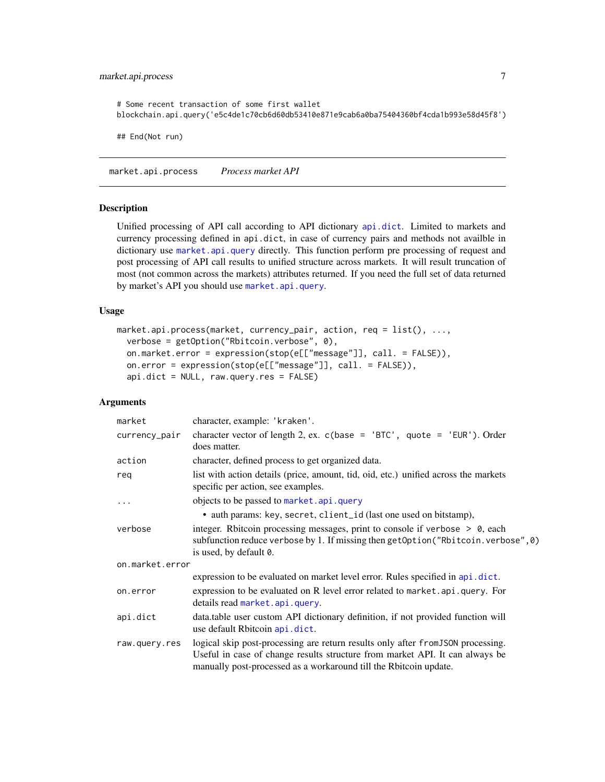## <span id="page-6-0"></span>market.api.process 7

# Some recent transaction of some first wallet blockchain.api.query('e5c4de1c70cb6d60db53410e871e9cab6a0ba75404360bf4cda1b993e58d45f8') ## End(Not run)

<span id="page-6-1"></span>market.api.process *Process market API*

#### **Description**

Unified processing of API call according to API dictionary [api.dict](#page-2-1). Limited to markets and currency processing defined in api.dict, in case of currency pairs and methods not availble in dictionary use [market.api.query](#page-8-1) directly. This function perform pre processing of request and post processing of API call results to unified structure across markets. It will result truncation of most (not common across the markets) attributes returned. If you need the full set of data returned by market's API you should use [market.api.query](#page-8-1).

## Usage

```
market.api.process(market, currency_pair, action, req = list(), ...,
  verbose = getOption("Rbitcoin.verbose", 0),
  on.market.error = expression(stop(e[["message"]], call. = FALSE)),
  on.error = expression(stop(e[["message"]], call. = FALSE)),
  api.dict = NULL, raw.query.res = FALSE)
```
## Arguments

| market          | character, example: 'kraken'.                                                                                                                                                                                                         |  |
|-----------------|---------------------------------------------------------------------------------------------------------------------------------------------------------------------------------------------------------------------------------------|--|
| currency_pair   | character vector of length 2, ex. $c$ (base = 'BTC', quote = 'EUR'). Order<br>does matter.                                                                                                                                            |  |
| action          | character, defined process to get organized data.                                                                                                                                                                                     |  |
| reg             | list with action details (price, amount, tid, oid, etc.) unified across the markets<br>specific per action, see examples.                                                                                                             |  |
| .               | objects to be passed to market.api.query                                                                                                                                                                                              |  |
|                 | • auth params: key, secret, client_id (last one used on bitstamp),                                                                                                                                                                    |  |
| verbose         | integer. Rbitcoin processing messages, print to console if verbose $> 0$ , each<br>subfunction reduce verbose by 1. If missing then getOption("Rbitcoin.verbose",0)<br>is used, by default 0.                                         |  |
| on.market.error |                                                                                                                                                                                                                                       |  |
|                 | expression to be evaluated on market level error. Rules specified in api.dict.                                                                                                                                                        |  |
| on.error        | expression to be evaluated on R level error related to market.api.query. For<br>details read market.api.query.                                                                                                                        |  |
| api.dict        | data.table user custom API dictionary definition, if not provided function will<br>use default Rbitcoin api.dict.                                                                                                                     |  |
| raw.query.res   | logical skip post-processing are return results only after from JSON processing.<br>Useful in case of change results structure from market API. It can always be<br>manually post-processed as a workaround till the Rbitcoin update. |  |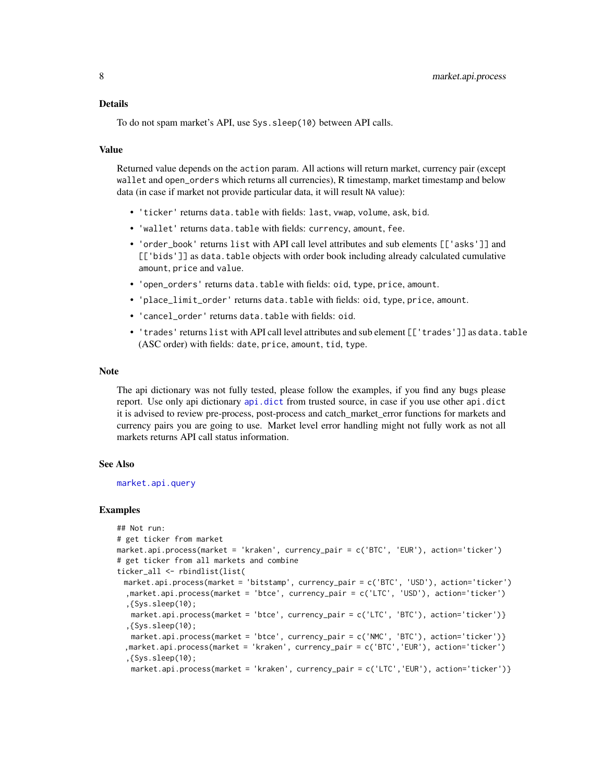<span id="page-7-0"></span>To do not spam market's API, use Sys.sleep(10) between API calls.

#### Value

Returned value depends on the action param. All actions will return market, currency pair (except wallet and open\_orders which returns all currencies), R timestamp, market timestamp and below data (in case if market not provide particular data, it will result NA value):

- 'ticker' returns data.table with fields: last, vwap, volume, ask, bid.
- 'wallet' returns data.table with fields: currency, amount, fee.
- 'order\_book' returns list with API call level attributes and sub elements [['asks']] and [['bids']] as data.table objects with order book including already calculated cumulative amount, price and value.
- 'open\_orders' returns data.table with fields: oid, type, price, amount.
- 'place\_limit\_order' returns data.table with fields: oid, type, price, amount.
- 'cancel\_order' returns data.table with fields: oid.
- 'trades' returns list with API call level attributes and sub element [['trades']] as data.table (ASC order) with fields: date, price, amount, tid, type.

#### Note

The api dictionary was not fully tested, please follow the examples, if you find any bugs please report. Use only api dictionary [api.dict](#page-2-1) from trusted source, in case if you use other api.dict it is advised to review pre-process, post-process and catch\_market\_error functions for markets and currency pairs you are going to use. Market level error handling might not fully work as not all markets returns API call status information.

#### See Also

[market.api.query](#page-8-1)

```
## Not run:
# get ticker from market
market.api.process(market = 'kraken', currency_pair = c('BTC', 'EUR'), action='ticker')
# get ticker from all markets and combine
ticker_all <- rbindlist(list(
 market.api.process(market = 'bitstamp', currency_pair = c('BTC', 'USD'), action='ticker')
  ,market.api.process(market = 'btce', currency_pair = c('LTC', 'USD'), action='ticker')
  ,{Sys.sleep(10);
   market.api.process(market = 'btce', currency_pair = c('LTC', 'BTC'), action='ticker')}
  ,{Sys.sleep(10);
   market.api.process(market = 'btce', currency_pair = c('NMC', 'BTC'), action='ticker')}
 ,market.api.process(market = 'kraken', currency_pair = c('BTC','EUR'), action='ticker')
  ,{Sys.sleep(10);
   market.api.process(market = 'kraken', currency_pair = c('LTC','EUR'), action='ticker')}
```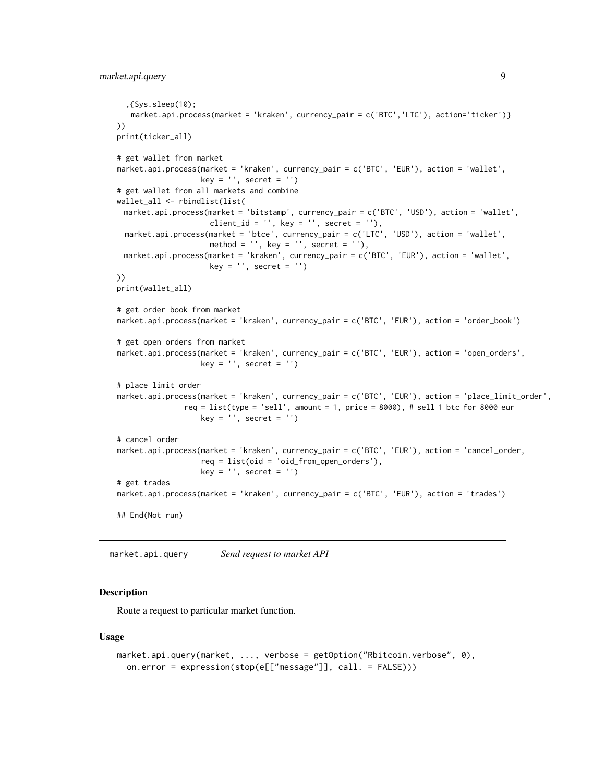```
,{Sys.sleep(10);
   market.api.process(market = 'kraken', currency_pair = c('BTC','LTC'), action='ticker')}
))
print(ticker_all)
# get wallet from market
market.api.process(market = 'kraken', currency_pair = c('BTC', 'EUR'), action = 'wallet',
                   key = '', secret = '')# get wallet from all markets and combine
wallet_all <- rbindlist(list(
 market.api.process(market = 'bitstamp', currency_pair = c('BTC', 'USD'), action = 'wallet',
                     client_id = '', key = '', secret = ''),
 market.api.process(market = 'btce', currency_pair = c('LTC', 'USD'), action = 'wallet',
                     method = ', key = ', secret = '),
 market.api.process(market = 'kraken', currency_pair = c('BTC', 'EUR'), action = 'wallet',
                     key = '', secret = '')))
print(wallet_all)
# get order book from market
market.api.process(market = 'kraken', currency_pair = c('BTC', 'EUR'), action = 'order_book')
# get open orders from market
market.api.process(market = 'kraken', currency_pair = c('BTC', 'EUR'), action = 'open_orders',
                   key = '', secret = '')# place limit order
market.api.process(market = 'kraken', currency_pair = c('BTC', 'EUR'), action = 'place_limit_order',
               req = list(type = 'sell', amount = 1, price = 8000), # sell 1 btc for 8000 eur
                   key = '', secret = '')
# cancel order
market.api.process(market = 'kraken', currency_pair = c('BTC', 'EUR'), action = 'cancel_order,
                   req = list(oid = 'oid_from_open_orders'),
                   key = '', secret = '')# get trades
market.api.process(market = 'kraken', currency_pair = c('BTC', 'EUR'), action = 'trades')
## End(Not run)
```
<span id="page-8-1"></span>market.api.query *Send request to market API*

## Description

Route a request to particular market function.

#### Usage

```
market.api.query(market, ..., verbose = getOption("Rbitcoin.verbose", 0),
 on.error = expression(stop(e[["message"]], call. = FALSE)))
```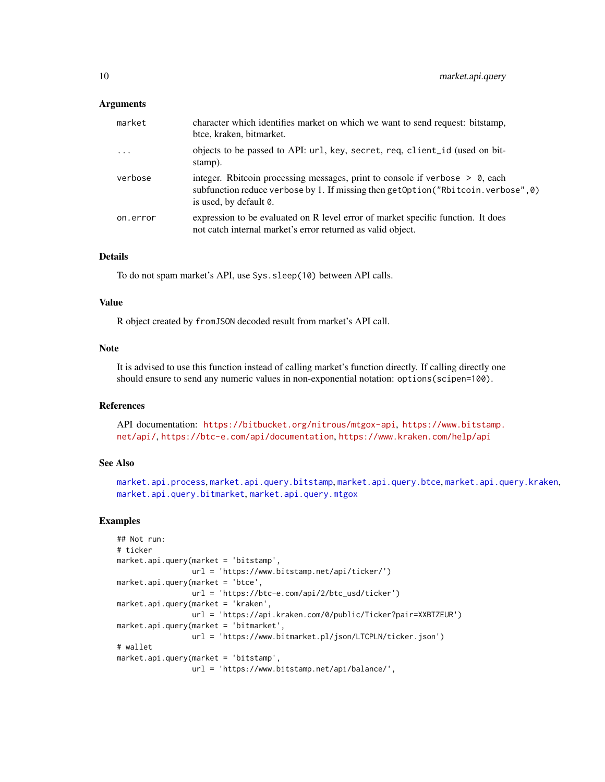## <span id="page-9-0"></span>Arguments

| market   | character which identifies market on which we want to send request: bitstamp,<br>btce, kraken, bitmarket.                                                                                       |
|----------|-------------------------------------------------------------------------------------------------------------------------------------------------------------------------------------------------|
| $\ddots$ | objects to be passed to API: url, key, secret, req, client_id (used on bit-<br>stamp).                                                                                                          |
| verbose  | integer. Rbitcoin processing messages, print to console if verbose $> 0$ , each<br>subfunction reduce verbose by 1. If missing then getOption("Rbitcoin. verbose", 0)<br>is used, by default 0. |
| on.error | expression to be evaluated on R level error of market specific function. It does<br>not catch internal market's error returned as valid object.                                                 |

## Details

To do not spam market's API, use Sys.sleep(10) between API calls.

#### Value

R object created by fromJSON decoded result from market's API call.

#### Note

It is advised to use this function instead of calling market's function directly. If calling directly one should ensure to send any numeric values in non-exponential notation: options(scipen=100).

## References

API documentation: <https://bitbucket.org/nitrous/mtgox-api>, [https://www.bitstamp.](https://www.bitstamp.net/api/) [net/api/](https://www.bitstamp.net/api/), <https://btc-e.com/api/documentation>, <https://www.kraken.com/help/api>

## See Also

[market.api.process](#page-6-1), [market.api.query.bitstamp](#page-12-1), [market.api.query.btce](#page-13-1), [market.api.query.kraken](#page-14-1), [market.api.query.bitmarket](#page-10-1), [market.api.query.mtgox](#page-15-1)

```
## Not run:
# ticker
market.api.query(market = 'bitstamp',
                 url = 'https://www.bitstamp.net/api/ticker/')
market.api.query(market = 'btce',
                 url = 'https://btc-e.com/api/2/btc_usd/ticker')
market.api.query(market = 'kraken',
                 url = 'https://api.kraken.com/0/public/Ticker?pair=XXBTZEUR')
market.api.query(market = 'bitmarket',
                 url = 'https://www.bitmarket.pl/json/LTCPLN/ticker.json')
# wallet
market.api.query(market = 'bitstamp',
                 url = 'https://www.bitstamp.net/api/balance/',
```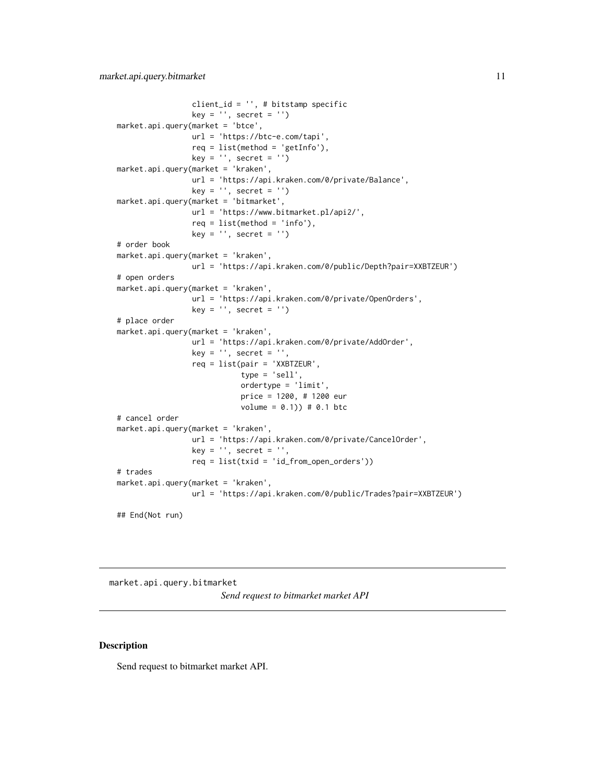```
client_id = '', # bitstamp specific
                 key = '', secret = '')
market.api.query(market = 'btce',
                 url = 'https://btc-e.com/tapi',
                 req = list(method = 'getInfo'),
                 key = '', secret = '')market.api.query(market = 'kraken',
                 url = 'https://api.kraken.com/0/private/Balance',
                 key = '', secret = '')
market.api.query(market = 'bitmarket',
                 url = 'https://www.bitmarket.pl/api2/',
                 req = list(method = 'info'),
                 key = '', secret = '')# order book
market.api.query(market = 'kraken',
                 url = 'https://api.kraken.com/0/public/Depth?pair=XXBTZEUR')
# open orders
market.api.query(market = 'kraken',
                 url = 'https://api.kraken.com/0/private/OpenOrders',
                 key = '', secret = '')# place order
market.api.query(market = 'kraken',
                 url = 'https://api.kraken.com/0/private/AddOrder',
                 key = ', secret = ',
                 req = list(pair = 'XXBTZEUR',
                            type = 'sell',
                            ordertype = 'limit',
                            price = 1200, # 1200 eur
                            volume = 0.1) # 0.1 btc
# cancel order
market.api.query(market = 'kraken',
                 url = 'https://api.kraken.com/0/private/CancelOrder',
                 key = ', secret = ',
                 req = list(txid = 'id_from_open_orders'))
# trades
market.api.query(market = 'kraken',
                 url = 'https://api.kraken.com/0/public/Trades?pair=XXBTZEUR')
```
## End(Not run)

<span id="page-10-1"></span>market.api.query.bitmarket *Send request to bitmarket market API*

### Description

Send request to bitmarket market API.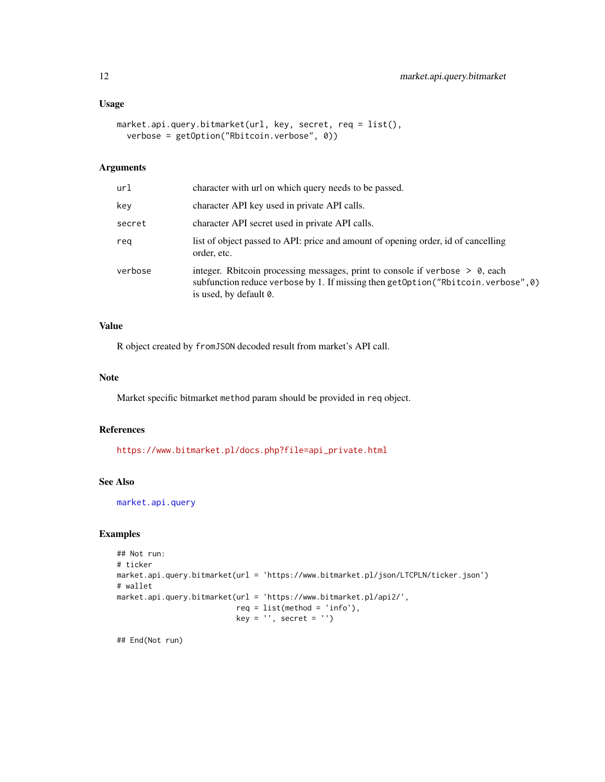## <span id="page-11-0"></span>Usage

```
market.api.query.bitmarket(url, key, secret, req = list(),
 verbose = getOption("Rbitcoin.verbose", 0))
```
## Arguments

| url     | character with url on which query needs to be passed.                                                                                                                                            |
|---------|--------------------------------------------------------------------------------------------------------------------------------------------------------------------------------------------------|
| key     | character API key used in private API calls.                                                                                                                                                     |
| secret  | character API secret used in private API calls.                                                                                                                                                  |
| rea     | list of object passed to API: price and amount of opening order, id of cancelling<br>order, etc.                                                                                                 |
| verbose | integer. Rbitcoin processing messages, print to console if verbose $> 0$ , each<br>subfunction reduce verbose by 1. If missing then getOption ("Rbitcoin. verbose", 0)<br>is used, by default 0. |
|         |                                                                                                                                                                                                  |

## Value

R object created by fromJSON decoded result from market's API call.

#### Note

Market specific bitmarket method param should be provided in req object.

## References

[https://www.bitmarket.pl/docs.php?file=api\\_private.html](https://www.bitmarket.pl/docs.php?file=api_private.html)

#### See Also

[market.api.query](#page-8-1)

## Examples

```
## Not run:
# ticker
market.api.query.bitmarket(url = 'https://www.bitmarket.pl/json/LTCPLN/ticker.json')
# wallet
market.api.query.bitmarket(url = 'https://www.bitmarket.pl/api2/',
                           req = list(method = 'info'),key = '', secret = '')
```
## End(Not run)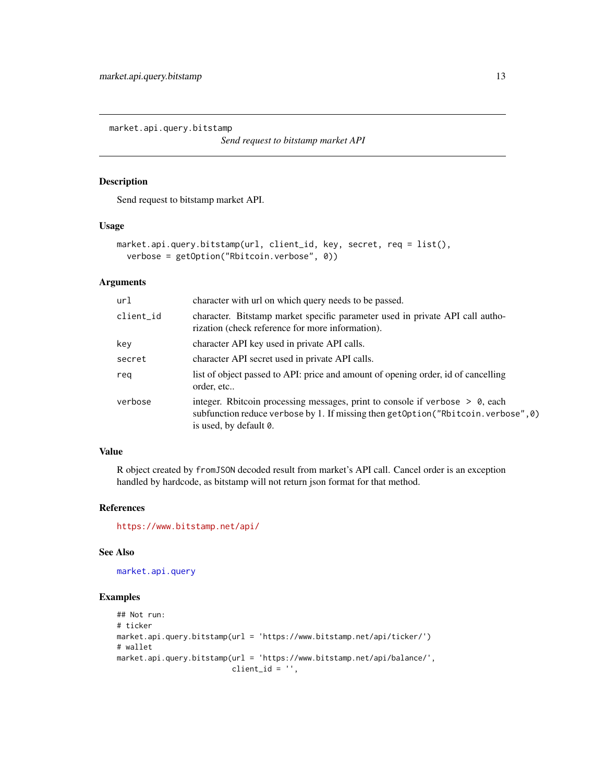<span id="page-12-1"></span><span id="page-12-0"></span>market.api.query.bitstamp

*Send request to bitstamp market API*

## Description

Send request to bitstamp market API.

#### Usage

```
market.api.query.bitstamp(url, client_id, key, secret, req = list(),
 verbose = getOption("Rbitcoin.verbose", 0))
```
## Arguments

| ur1       | character with url on which query needs to be passed.                                                                                                                                         |
|-----------|-----------------------------------------------------------------------------------------------------------------------------------------------------------------------------------------------|
| client_id | character. Bitstamp market specific parameter used in private API call autho-<br>rization (check reference for more information).                                                             |
| key       | character API key used in private API calls.                                                                                                                                                  |
| secret    | character API secret used in private API calls.                                                                                                                                               |
| reg       | list of object passed to API: price and amount of opening order, id of cancelling<br>order, etc                                                                                               |
| verbose   | integer. Rbitcoin processing messages, print to console if verbose $> 0$ , each<br>subfunction reduce verbose by 1. If missing then getOption("Rbitcoin.verbose",0)<br>is used, by default 0. |

## Value

R object created by fromJSON decoded result from market's API call. Cancel order is an exception handled by hardcode, as bitstamp will not return json format for that method.

#### References

<https://www.bitstamp.net/api/>

#### See Also

[market.api.query](#page-8-1)

```
## Not run:
# ticker
market.api.query.bitstamp(url = 'https://www.bitstamp.net/api/ticker/')
# wallet
market.api.query.bitstamp(url = 'https://www.bitstamp.net/api/balance/',
                          client_id = ''',
```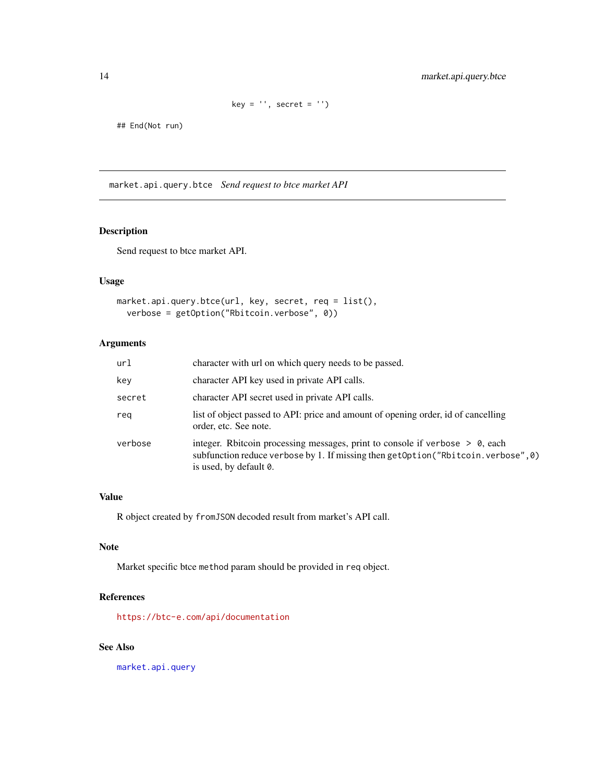```
key = '', secret = '')
```
<span id="page-13-0"></span>## End(Not run)

<span id="page-13-1"></span>market.api.query.btce *Send request to btce market API*

## Description

Send request to btce market API.

#### Usage

```
market.api.query.btce(url, key, secret, req = list(),
 verbose = getOption("Rbitcoin.verbose", 0))
```
## Arguments

| url     | character with url on which query needs to be passed.                                                                                                                                           |
|---------|-------------------------------------------------------------------------------------------------------------------------------------------------------------------------------------------------|
| key     | character API key used in private API calls.                                                                                                                                                    |
| secret  | character API secret used in private API calls.                                                                                                                                                 |
| reg     | list of object passed to API: price and amount of opening order, id of cancelling<br>order, etc. See note.                                                                                      |
| verbose | integer. Rbitcoin processing messages, print to console if verbose $> 0$ , each<br>subfunction reduce verbose by 1. If missing then getOption("Rbitcoin. verbose", 0)<br>is used, by default 0. |

## Value

R object created by fromJSON decoded result from market's API call.

## Note

Market specific btce method param should be provided in req object.

## References

<https://btc-e.com/api/documentation>

## See Also

[market.api.query](#page-8-1)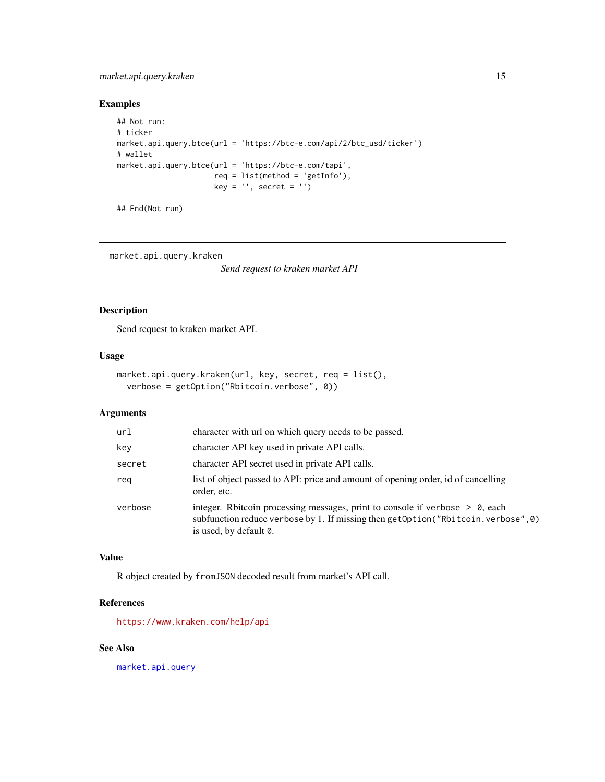## <span id="page-14-0"></span>market.api.query.kraken 15

## Examples

```
## Not run:
# ticker
market.api.query.btce(url = 'https://btc-e.com/api/2/btc_usd/ticker')
# wallet
market.api.query.btce(url = 'https://btc-e.com/tapi',
                     req = list(method = 'getInfo'),
                     key = '', secret = '')
```
## End(Not run)

<span id="page-14-1"></span>market.api.query.kraken

*Send request to kraken market API*

## Description

Send request to kraken market API.

#### Usage

```
market.api.query.kraken(url, key, secret, req = list(),
 verbose = getOption("Rbitcoin.verbose", 0))
```
## Arguments

| url     | character with url on which query needs to be passed.                                                                                                                                            |
|---------|--------------------------------------------------------------------------------------------------------------------------------------------------------------------------------------------------|
| key     | character API key used in private API calls.                                                                                                                                                     |
| secret  | character API secret used in private API calls.                                                                                                                                                  |
| reg     | list of object passed to API: price and amount of opening order, id of cancelling<br>order, etc.                                                                                                 |
| verbose | integer. Rbitcoin processing messages, print to console if verbose $> 0$ , each<br>subfunction reduce verbose by 1. If missing then getOption ("Rbitcoin. verbose", 0)<br>is used, by default 0. |

#### Value

R object created by fromJSON decoded result from market's API call.

## References

<https://www.kraken.com/help/api>

## See Also

[market.api.query](#page-8-1)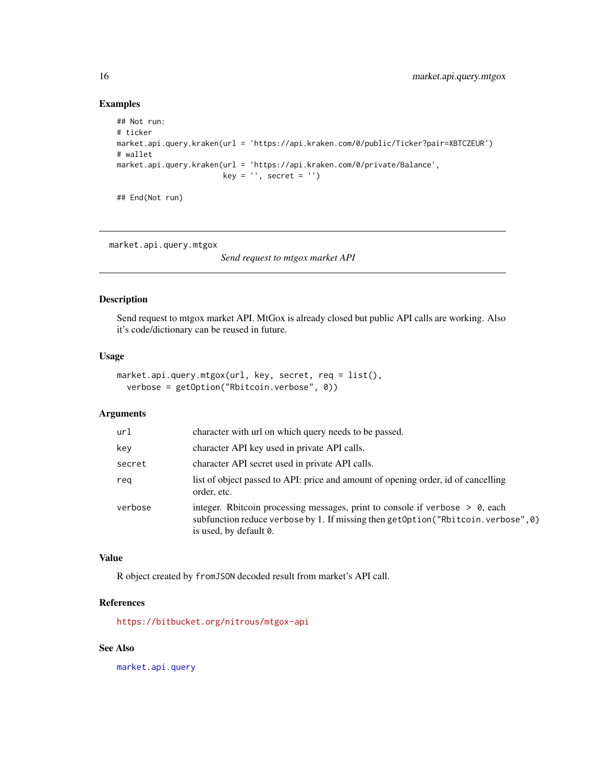## Examples

```
## Not run:
# ticker
market.api.query.kraken(url = 'https://api.kraken.com/0/public/Ticker?pair=XBTCZEUR')
# wallet
market.api.query.kraken(url = 'https://api.kraken.com/0/private/Balance',
                       key = '', secret = '')
## End(Not run)
```
<span id="page-15-1"></span>market.api.query.mtgox

*Send request to mtgox market API*

## Description

Send request to mtgox market API. MtGox is already closed but public API calls are working. Also it's code/dictionary can be reused in future.

#### Usage

```
market.api.query.mtgox(url, key, secret, req = list(),
 verbose = getOption("Rbitcoin.verbose", 0))
```
## Arguments

| ur1     | character with url on which query needs to be passed.                                                                                                                                            |
|---------|--------------------------------------------------------------------------------------------------------------------------------------------------------------------------------------------------|
| key     | character API key used in private API calls.                                                                                                                                                     |
| secret  | character API secret used in private API calls.                                                                                                                                                  |
| reg     | list of object passed to API: price and amount of opening order, id of cancelling<br>order, etc.                                                                                                 |
| verbose | integer. Rbitcoin processing messages, print to console if verbose $> 0$ , each<br>subfunction reduce verbose by 1. If missing then getOption ("Rbitcoin. verbose", 0)<br>is used, by default 0. |

#### Value

R object created by fromJSON decoded result from market's API call.

## References

<https://bitbucket.org/nitrous/mtgox-api>

## See Also

[market.api.query](#page-8-1)

<span id="page-15-0"></span>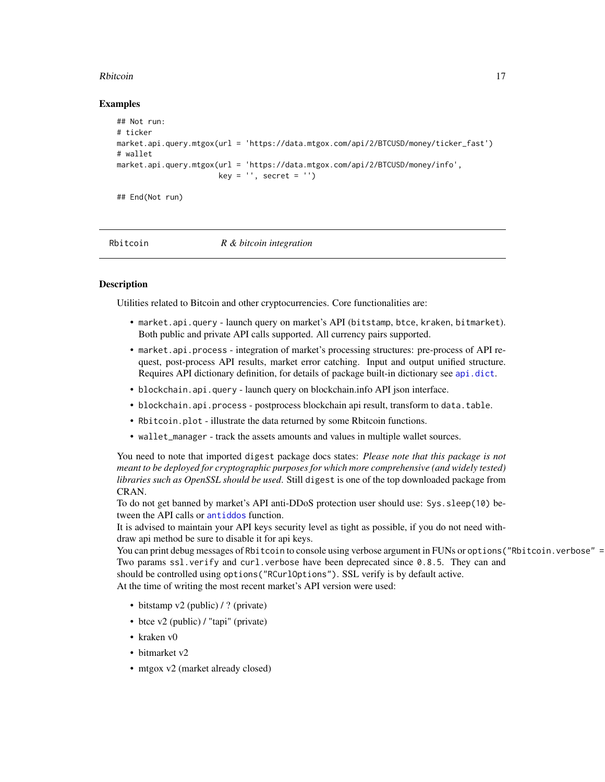#### <span id="page-16-0"></span>Rbitcoin and the contract of the contract of the contract of the contract of the contract of the contract of the contract of the contract of the contract of the contract of the contract of the contract of the contract of t

#### Examples

```
## Not run:
# ticker
market.api.query.mtgox(url = 'https://data.mtgox.com/api/2/BTCUSD/money/ticker_fast')
# wallet
market.api.query.mtgox(url = 'https://data.mtgox.com/api/2/BTCUSD/money/info',
                       key = '', secret = '')
## End(Not run)
```
Rbitcoin *R & bitcoin integration*

#### **Description**

Utilities related to Bitcoin and other cryptocurrencies. Core functionalities are:

- market.api.query launch query on market's API (bitstamp, btce, kraken, bitmarket). Both public and private API calls supported. All currency pairs supported.
- market.api.process integration of market's processing structures: pre-process of API request, post-process API results, market error catching. Input and output unified structure. Requires API dictionary definition, for details of package built-in dictionary see [api.dict](#page-2-1).
- blockchain.api.query launch query on blockchain.info API json interface.
- blockchain.api.process postprocess blockchain api result, transform to data.table.
- Rbitcoin.plot illustrate the data returned by some Rbitcoin functions.
- wallet\_manager track the assets amounts and values in multiple wallet sources.

You need to note that imported digest package docs states: *Please note that this package is not meant to be deployed for cryptographic purposes for which more comprehensive (and widely tested) libraries such as OpenSSL should be used*. Still digest is one of the top downloaded package from CRAN.

To do not get banned by market's API anti-DDoS protection user should use: Sys.sleep(10) between the API calls or [antiddos](#page-1-1) function.

It is advised to maintain your API keys security level as tight as possible, if you do not need withdraw api method be sure to disable it for api keys.

You can print debug messages of Rbitcoin to console using verbose argument in FUNs or options ("Rbitcoin.verbose" = Two params ssl.verify and curl.verbose have been deprecated since 0.8.5. They can and should be controlled using options("RCurlOptions"). SSL verify is by default active. At the time of writing the most recent market's API version were used:

- bitstamp v2 (public) / ? (private)
- btce v2 (public) / "tapi" (private)
- kraken v0
- bitmarket v2
- mtgox v2 (market already closed)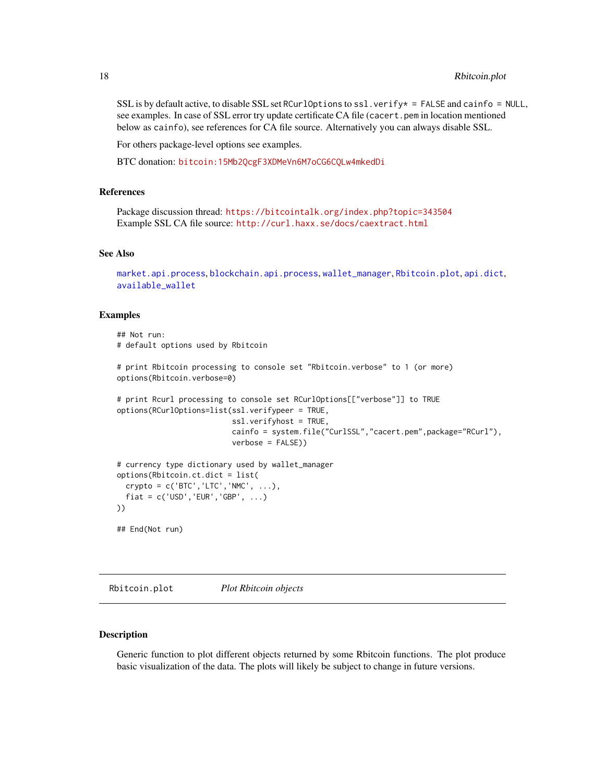<span id="page-17-0"></span>SSL is by default active, to disable SSL set RCurlOptions to ssl.verify  $* =$  FALSE and cainfo = NULL, see examples. In case of SSL error try update certificate CA file (cacert.pem in location mentioned below as cainfo), see references for CA file source. Alternatively you can always disable SSL.

For others package-level options see examples.

BTC donation: <bitcoin:15Mb2QcgF3XDMeVn6M7oCG6CQLw4mkedDi>

## References

Package discussion thread: <https://bitcointalk.org/index.php?topic=343504> Example SSL CA file source: <http://curl.haxx.se/docs/caextract.html>

#### See Also

```
market.api.process, blockchain.api.process, wallet_manager, Rbitcoin.plot, api.dict,
available_wallet
```
#### Examples

```
## Not run:
# default options used by Rbitcoin
# print Rbitcoin processing to console set "Rbitcoin.verbose" to 1 (or more)
options(Rbitcoin.verbose=0)
# print Rcurl processing to console set RCurlOptions[["verbose"]] to TRUE
options(RCurlOptions=list(ssl.verifypeer = TRUE,
                          ssl.verifyhost = TRUE,
                          cainfo = system.file("CurlSSL","cacert.pem",package="RCurl"),
                          verbose = FALSE))
# currency type dictionary used by wallet_manager
options(Rbitcoin.ct.dict = list(
 crypto = c('BTC','LTC','NMC', ...),
 fiat = c('USD', 'EUR', 'GBP', ...)))
## End(Not run)
```
<span id="page-17-1"></span>Rbitcoin.plot *Plot Rbitcoin objects*

#### Description

Generic function to plot different objects returned by some Rbitcoin functions. The plot produce basic visualization of the data. The plots will likely be subject to change in future versions.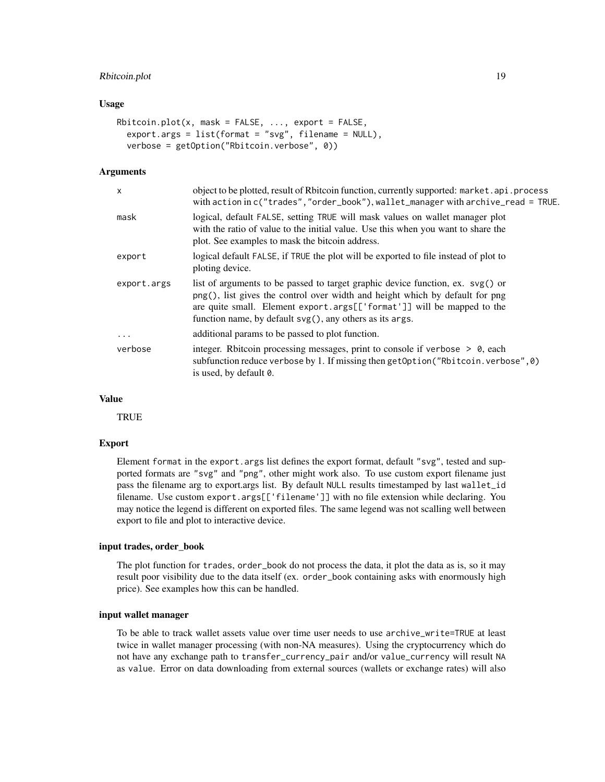## Rbitcoin.plot 19

#### Usage

```
Rbitcoin.plot(x, mask = FALSE, ..., export = FALSE,
 export.args = list(fromat = "svg", filename = NULL),verbose = getOption("Rbitcoin.verbose", 0))
```
#### Arguments

| x           | object to be plotted, result of Rbitcoin function, currently supported: market.api.process<br>with action in c("trades","order_book"), wallet_manager with archive_read = TRUE.                                                                                                                                 |
|-------------|-----------------------------------------------------------------------------------------------------------------------------------------------------------------------------------------------------------------------------------------------------------------------------------------------------------------|
| mask        | logical, default FALSE, setting TRUE will mask values on wallet manager plot<br>with the ratio of value to the initial value. Use this when you want to share the<br>plot. See examples to mask the bitcoin address.                                                                                            |
| export      | logical default FALSE, if TRUE the plot will be exported to file instead of plot to<br>ploting device.                                                                                                                                                                                                          |
| export.args | list of arguments to be passed to target graphic device function, ex. $\mathsf{svg}()$ or<br>png(), list gives the control over width and height which by default for png<br>are quite small. Element export.args[['format']] will be mapped to the<br>function name, by default svg(), any others as its args. |
| $\ddots$    | additional params to be passed to plot function.                                                                                                                                                                                                                                                                |
| verbose     | integer. Rbitcoin processing messages, print to console if verbose $> 0$ , each<br>subfunction reduce verbose by 1. If missing then getOption("Rbitcoin.verbose", 0)<br>is used, by default 0.                                                                                                                  |

#### Value

**TRUE** 

## Export

Element format in the export.args list defines the export format, default "svg", tested and supported formats are "svg" and "png", other might work also. To use custom export filename just pass the filename arg to export.args list. By default NULL results timestamped by last wallet\_id filename. Use custom export.args[['filename']] with no file extension while declaring. You may notice the legend is different on exported files. The same legend was not scalling well between export to file and plot to interactive device.

#### input trades, order\_book

The plot function for trades, order\_book do not process the data, it plot the data as is, so it may result poor visibility due to the data itself (ex. order\_book containing asks with enormously high price). See examples how this can be handled.

#### input wallet manager

To be able to track wallet assets value over time user needs to use archive\_write=TRUE at least twice in wallet manager processing (with non-NA measures). Using the cryptocurrency which do not have any exchange path to transfer\_currency\_pair and/or value\_currency will result NA as value. Error on data downloading from external sources (wallets or exchange rates) will also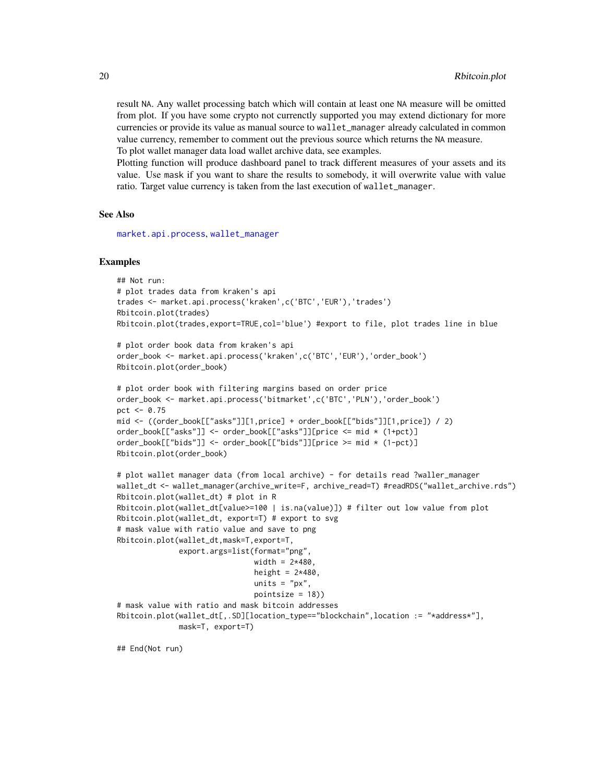<span id="page-19-0"></span>result NA. Any wallet processing batch which will contain at least one NA measure will be omitted from plot. If you have some crypto not currenctly supported you may extend dictionary for more currencies or provide its value as manual source to wallet\_manager already calculated in common value currency, remember to comment out the previous source which returns the NA measure. To plot wallet manager data load wallet archive data, see examples.

Plotting function will produce dashboard panel to track different measures of your assets and its value. Use mask if you want to share the results to somebody, it will overwrite value with value ratio. Target value currency is taken from the last execution of wallet\_manager.

#### See Also

[market.api.process](#page-6-1), [wallet\\_manager](#page-20-1)

#### Examples

```
## Not run:
# plot trades data from kraken's api
trades <- market.api.process('kraken',c('BTC','EUR'),'trades')
Rbitcoin.plot(trades)
Rbitcoin.plot(trades,export=TRUE,col='blue') #export to file, plot trades line in blue
# plot order book data from kraken's api
order_book <- market.api.process('kraken',c('BTC','EUR'),'order_book')
Rbitcoin.plot(order_book)
# plot order book with filtering margins based on order price
order_book <- market.api.process('bitmarket',c('BTC','PLN'),'order_book')
pct <-0.75mid <- ((order_book[["asks"]][1,price] + order_book[["bids"]][1,price]) / 2)
order_book[["asks"]] <- order_book[["asks"]][price <= mid * (1+pct)]
order_book[["bids"]] <- order_book[["bids"]][price >= mid * (1-pct)]
Rbitcoin.plot(order_book)
# plot wallet manager data (from local archive) - for details read ?waller_manager
wallet_dt <- wallet_manager(archive_write=F, archive_read=T) #readRDS("wallet_archive.rds")
Rbitcoin.plot(wallet_dt) # plot in R
Rbitcoin.plot(wallet_dt[value>=100 | is.na(value)]) # filter out low value from plot
Rbitcoin.plot(wallet_dt, export=T) # export to svg
# mask value with ratio value and save to png
Rbitcoin.plot(wallet_dt,mask=T,export=T,
              export.args=list(format="png",
                               width = 2*480,height = 2*480,
                               units = "px",
                               pointsize = 18))
# mask value with ratio and mask bitcoin addresses
Rbitcoin.plot(wallet_dt[,.SD][location_type=="blockchain",location := "*address*"],
              mask=T, export=T)
```
## End(Not run)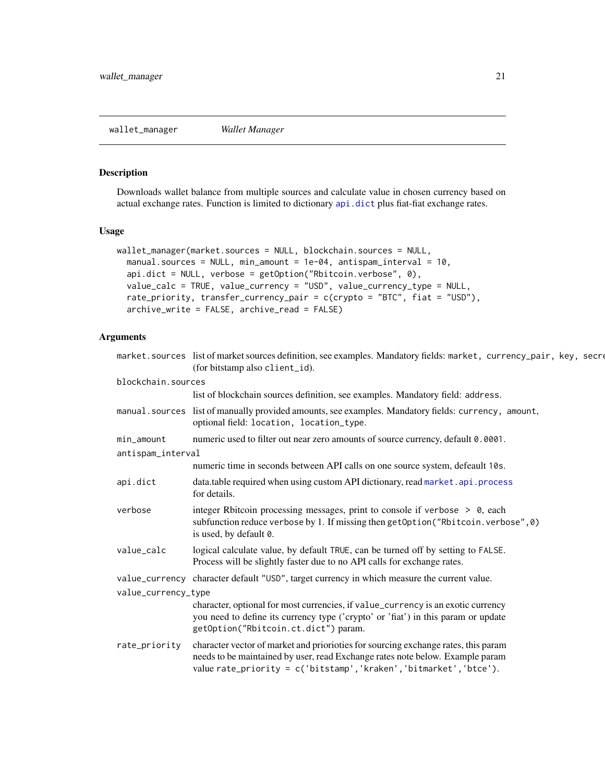<span id="page-20-1"></span><span id="page-20-0"></span>wallet\_manager *Wallet Manager*

## Description

Downloads wallet balance from multiple sources and calculate value in chosen currency based on actual exchange rates. Function is limited to dictionary [api.dict](#page-2-1) plus fiat-fiat exchange rates.

## Usage

```
wallet_manager(market.sources = NULL, blockchain.sources = NULL,
  manual.sources = NULL, min_amount = 1e-04, antispam_interval = 10,api.dict = NULL, verbose = getOption("Rbitcoin.verbose", 0),
  value_calc = TRUE, value_currency = "USD", value_currency_type = NULL,
  rate_priority, transfer_currency_pair = c(crypto = "BTC", fiat = "USD"),
  archive_write = FALSE, archive_read = FALSE)
```
## Arguments

|                     | market.sources list of market sources definition, see examples. Mandatory fields: market, currency_pair, key, secre<br>(for bitstamp also client_id).                                                                                      |  |
|---------------------|--------------------------------------------------------------------------------------------------------------------------------------------------------------------------------------------------------------------------------------------|--|
| blockchain.sources  |                                                                                                                                                                                                                                            |  |
|                     | list of blockchain sources definition, see examples. Mandatory field: address.                                                                                                                                                             |  |
|                     | manual.sources list of manually provided amounts, see examples. Mandatory fields: currency, amount,<br>optional field: location, location_type.                                                                                            |  |
| min_amount          | numeric used to filter out near zero amounts of source currency, default 0.0001.                                                                                                                                                           |  |
| antispam_interval   |                                                                                                                                                                                                                                            |  |
|                     | numeric time in seconds between API calls on one source system, defeault 10s.                                                                                                                                                              |  |
| api.dict            | data.table required when using custom API dictionary, read market.api.process<br>for details.                                                                                                                                              |  |
| verbose             | integer Rbitcoin processing messages, print to console if verbose > 0, each<br>subfunction reduce verbose by 1. If missing then getOption("Rbitcoin.verbose", 0)<br>is used, by default 0.                                                 |  |
| value_calc          | logical calculate value, by default TRUE, can be turned off by setting to FALSE.<br>Process will be slightly faster due to no API calls for exchange rates.                                                                                |  |
|                     | value_currency character default "USD", target currency in which measure the current value.                                                                                                                                                |  |
| value_currency_type |                                                                                                                                                                                                                                            |  |
|                     | character, optional for most currencies, if value_currency is an exotic currency<br>you need to define its currency type ('crypto' or 'fiat') in this param or update<br>getOption("Rbitcoin.ct.dict") param.                              |  |
| rate_priority       | character vector of market and priorioties for sourcing exchange rates, this param<br>needs to be maintained by user, read Exchange rates note below. Example param<br>value rate_priority = c('bitstamp', 'kraken', 'bitmarket', 'btce'). |  |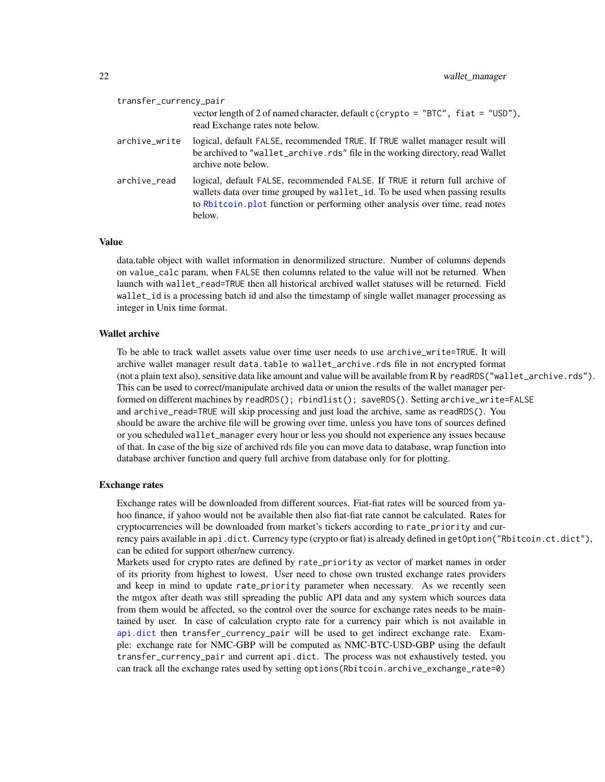<span id="page-21-0"></span>

| transfer_currency_pair |                                                                                                                                                                                                                                                         |
|------------------------|---------------------------------------------------------------------------------------------------------------------------------------------------------------------------------------------------------------------------------------------------------|
|                        | vector length of 2 of named character, default $c$ (crypto = "BTC", fiat = "USD"),<br>read Exchange rates note below.                                                                                                                                   |
| archive_write          | logical, default FALSE, recommended TRUE. If TRUE wallet manager result will<br>be archived to "wallet_archive.rds" file in the working directory, read Wallet<br>archive note below.                                                                   |
| archive_read           | logical, default FALSE, recommended FALSE. If TRUE it return full archive of<br>wallets data over time grouped by wallet_id. To be used when passing results<br>to Rbitcoin. plot function or performing other analysis over time, read notes<br>below. |

#### Value

data.table object with wallet information in denormilized structure. Number of columns depends on value\_calc param, when FALSE then columns related to the value will not be returned. When launch with wallet read=TRUE then all historical archived wallet statuses will be returned. Field wallet\_id is a processing batch id and also the timestamp of single wallet manager processing as integer in Unix time format.

#### Wallet archive

To be able to track wallet assets value over time user needs to use archive\_write=TRUE. It will archive wallet manager result data.table to wallet\_archive.rds file in not encrypted format (not a plain text also), sensitive data like amount and value will be available from R by readRDS("wallet\_archive.rds"). This can be used to correct/manipulate archived data or union the results of the wallet manager performed on different machines by readRDS(); rbindlist(); saveRDS(). Setting archive\_write=FALSE and archive\_read=TRUE will skip processing and just load the archive, same as readRDS(). You should be aware the archive file will be growing over time, unless you have tons of sources defined or you scheduled wallet\_manager every hour or less you should not experience any issues because of that. In case of the big size of archived rds file you can move data to database, wrap function into database archiver function and query full archive from database only for for plotting.

#### Exchange rates

Exchange rates will be downloaded from different sources. Fiat-fiat rates will be sourced from yahoo finance, if yahoo would not be available then also fiat-fiat rate cannot be calculated. Rates for cryptocurrencies will be downloaded from market's tickers according to rate\_priority and currency pairs available in api.dict. Currency type (crypto or fiat) is already defined in getOption("Rbitcoin.ct.dict"), can be edited for support other/new currency.

Markets used for crypto rates are defined by rate\_priority as vector of market names in order of its priority from highest to lowest. User need to chose own trusted exchange rates providers and keep in mind to update rate\_priority parameter when necessary. As we recently seen the mtgox after death was still spreading the public API data and any system which sources data from them would be affected, so the control over the source for exchange rates needs to be maintained by user. In case of calculation crypto rate for a currency pair which is not available in [api.dict](#page-2-1) then transfer\_currency\_pair will be used to get indirect exchange rate. Example: exchange rate for NMC-GBP will be computed as NMC-BTC-USD-GBP using the default transfer\_currency\_pair and current api.dict. The process was not exhaustively tested, you can track all the exchange rates used by setting options(Rbitcoin.archive\_exchange\_rate=0)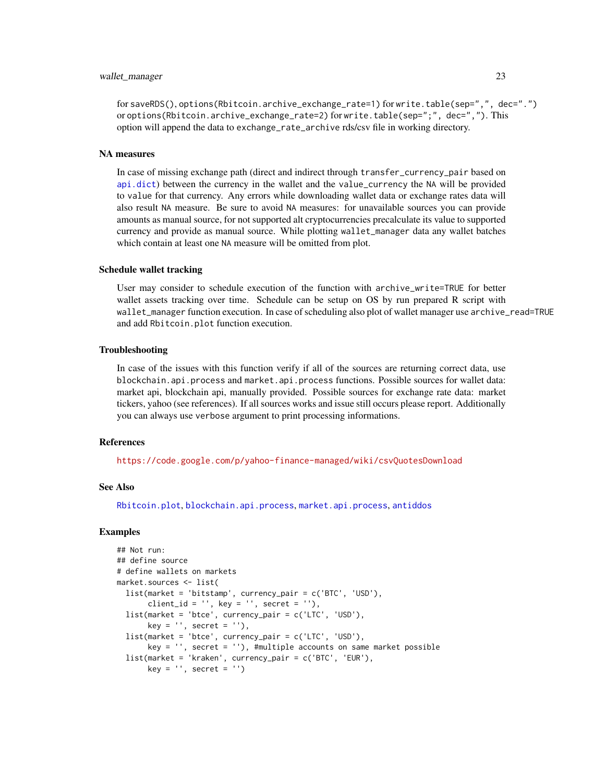#### <span id="page-22-0"></span>wallet\_manager 23

for saveRDS(), options(Rbitcoin.archive\_exchange\_rate=1) for write.table(sep=",", dec=".") or options(Rbitcoin.archive\_exchange\_rate=2) for write.table(sep=";", dec=","). This option will append the data to exchange\_rate\_archive rds/csv file in working directory.

#### NA measures

In case of missing exchange path (direct and indirect through transfer\_currency\_pair based on [api.dict](#page-2-1)) between the currency in the wallet and the value\_currency the NA will be provided to value for that currency. Any errors while downloading wallet data or exchange rates data will also result NA measure. Be sure to avoid NA measures: for unavailable sources you can provide amounts as manual source, for not supported alt cryptocurrencies precalculate its value to supported currency and provide as manual source. While plotting wallet\_manager data any wallet batches which contain at least one NA measure will be omitted from plot.

#### Schedule wallet tracking

User may consider to schedule execution of the function with archive\_write=TRUE for better wallet assets tracking over time. Schedule can be setup on OS by run prepared R script with wallet\_manager function execution. In case of scheduling also plot of wallet manager use archive\_read=TRUE and add Rbitcoin.plot function execution.

#### Troubleshooting

In case of the issues with this function verify if all of the sources are returning correct data, use blockchain.api.process and market.api.process functions. Possible sources for wallet data: market api, blockchain api, manually provided. Possible sources for exchange rate data: market tickers, yahoo (see references). If all sources works and issue still occurs please report. Additionally you can always use verbose argument to print processing informations.

#### **References**

<https://code.google.com/p/yahoo-finance-managed/wiki/csvQuotesDownload>

#### See Also

[Rbitcoin.plot](#page-17-1), [blockchain.api.process](#page-4-1), [market.api.process](#page-6-1), [antiddos](#page-1-1)

```
## Not run:
## define source
# define wallets on markets
market.sources <- list(
 list(market = 'bitstamp', currency_pair = c('BTC', 'USD'),
      client_id = '', key = '', secret = ''),
 list(market = 'btce', currency_pair = c('LTC', 'USD'),
      key = '', secret = '),
 list(market = 'btce', currency_pair = c('LTC', 'USD'),
      key = '', secret = ''), #multiple accounts on same market possible
 list(market = 'kraken', currency_pair = c('BTC', 'EUR'),
      key = '', secret = '')
```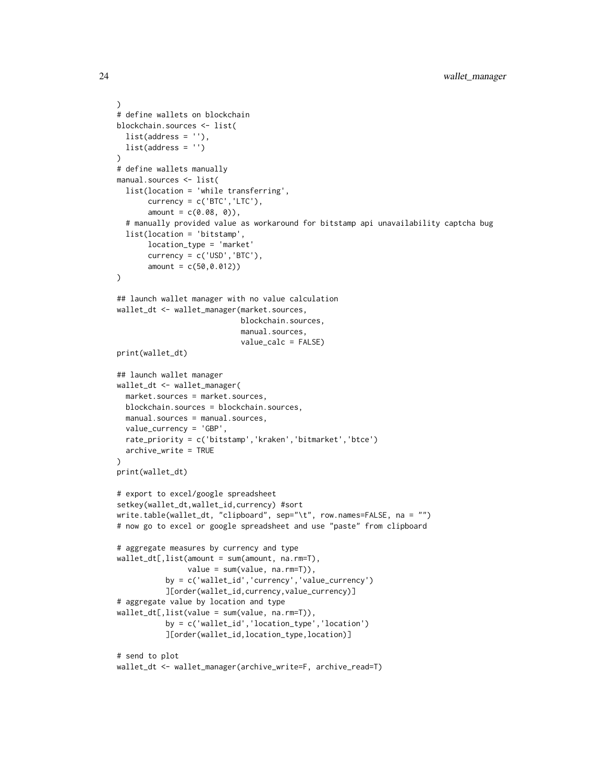```
)
# define wallets on blockchain
blockchain.sources <- list(
 list(address = ''),
 list(address = '')
\lambda# define wallets manually
manual.sources <- list(
  list(location = 'while transferring',
       currency = c('BTC', 'LTC'),amount = c(0.08, 0)),# manually provided value as workaround for bitstamp api unavailability captcha bug
  list(location = 'bitstamp',
       location_type = 'market'
       currency = c('USD','BTC'),
       amount = c(50, 0.012)\mathcal{L}## launch wallet manager with no value calculation
wallet_dt <- wallet_manager(market.sources,
                            blockchain.sources,
                            manual.sources,
                            value_calc = FALSE)
print(wallet_dt)
## launch wallet manager
wallet_dt <- wallet_manager(
  market.sources = market.sources,
  blockchain.sources = blockchain.sources,
  manual.sources = manual.sources,
  value_currency = 'GBP',
  rate_priority = c('bitstamp','kraken','bitmarket','btce')
  archive_write = TRUE
)
print(wallet_dt)
# export to excel/google spreadsheet
setkey(wallet_dt,wallet_id,currency) #sort
write.table(wallet_dt, "clipboard", sep="\t", row.names=FALSE, na = "")
# now go to excel or google spreadsheet and use "paste" from clipboard
# aggregate measures by currency and type
wallet_dt[,list(amount = sum(amount, na.rm=T),
                value = sum(value, na.rm=T)),
           by = c('wallet_id','currency','value_currency')
           ][order(wallet_id,currency,value_currency)]
# aggregate value by location and type
wallet_dt[,list(value = sum(value, na.rm=T)),
           by = c('wallet_id','location_type','location')
           ][order(wallet_id,location_type,location)]
# send to plot
wallet_dt <- wallet_manager(archive_write=F, archive_read=T)
```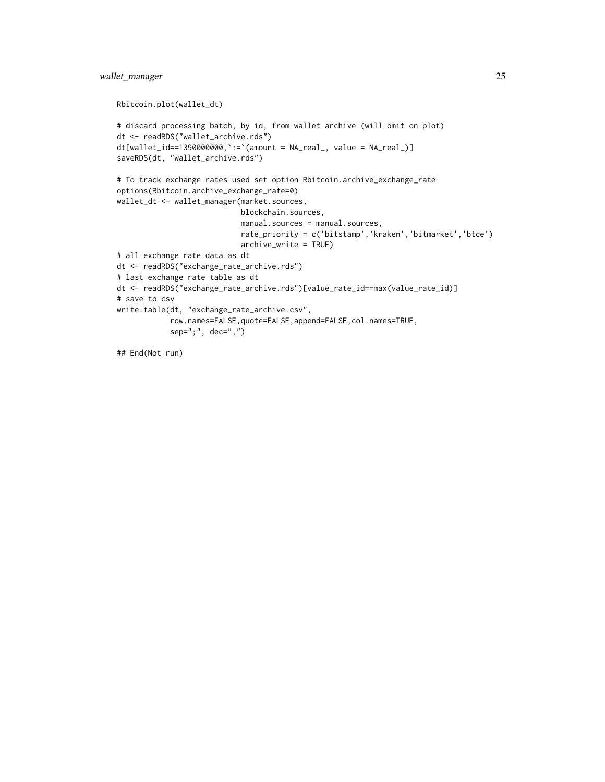```
Rbitcoin.plot(wallet_dt)
# discard processing batch, by id, from wallet archive (will omit on plot)
dt <- readRDS("wallet_archive.rds")
dt[wallet_id == 1390000000, ':='(amount = NA\_real_, value = NA\_real_])saveRDS(dt, "wallet_archive.rds")
# To track exchange rates used set option Rbitcoin.archive_exchange_rate
options(Rbitcoin.archive_exchange_rate=0)
wallet_dt <- wallet_manager(market.sources,
                            blockchain.sources,
                            manual.sources = manual.sources,
                            rate_priority = c('bitstamp','kraken','bitmarket','btce')
                            archive_write = TRUE)
# all exchange rate data as dt
dt <- readRDS("exchange_rate_archive.rds")
# last exchange rate table as dt
dt <- readRDS("exchange_rate_archive.rds")[value_rate_id==max(value_rate_id)]
# save to csv
write.table(dt, "exchange_rate_archive.csv",
            row.names=FALSE,quote=FALSE,append=FALSE,col.names=TRUE,
            sep="; " , dec=" "
```

```
## End(Not run)
```